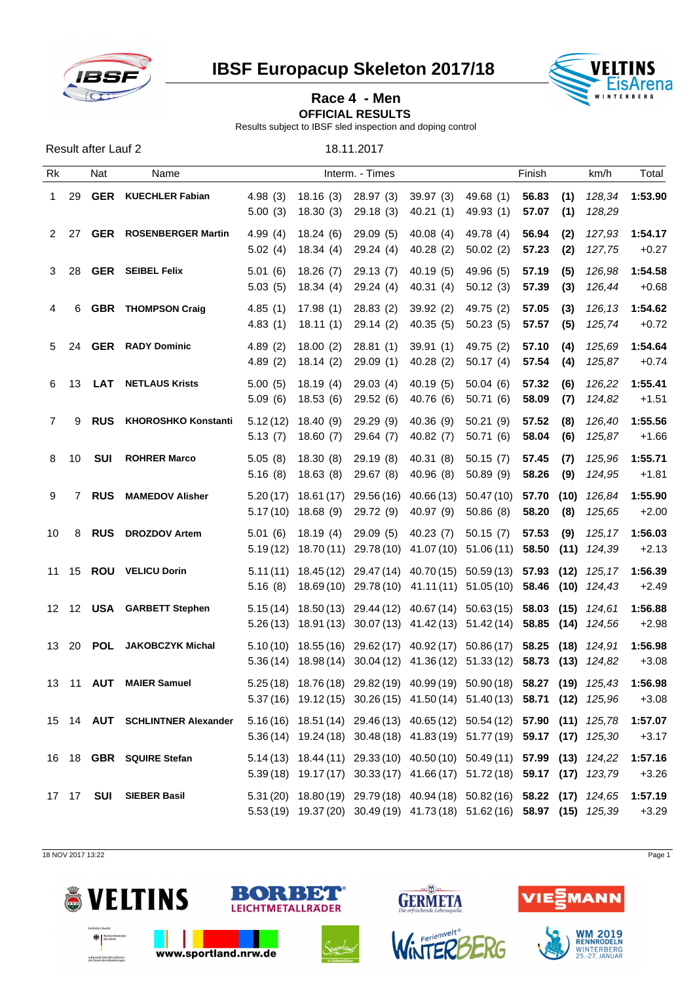

Result after Lauf 2 18.11.2017

**IBSF Europacup Skeleton 2017/18 VELTINS**<br>EisArena



## **Race 4 - Men**

**OFFICIAL RESULTS** 

Results subject to IBSF sled inspection and doping control

Rk Nat Name Interm. - Times Finish km/h Total 1 29 **GER KUECHLER Fabian** 4.98 (3) 18.16 (3) 28.97 (3) 39.97 (3) 49.68 (1) **56.83 (1)** *128,34* **1:53.90** 5.00 (3) 18.30 (3) 29.18 (3) 40.21 (1) 49.93 (1) **57.07 (1)** *128,29* 2 27 **GER ROSENBERGER Martin** 4.99 (4) 18.24 (6) 29.09 (5) 40.08 (4) 49.78 (4) **56.94 (2)** *127,93* **1:54.17** 5.02 (4) 18.34 (4) 29.24 (4) 40.28 (2) 50.02 (2) **57.23 (2)** *127,75* +0.27 3 28 **GER SEIBEL Felix** 5.01 (6) 18.26 (7) 29.13 (7) 40.19 (5) 49.96 (5) **57.19 (5)** *126,98* **1:54.58** 5.03 (5) 18.34 (4) 29.24 (4) 40.31 (4) 50.12 (3) **57.39 (3)** *126,44* +0.68 4 6 **GBR THOMPSON Craig** 4.85 (1) 17.98 (1) 28.83 (2) 39.92 (2) 49.75 (2) **57.05 (3)** *126,13* **1:54.62** 4.83 (1) 18.11 (1) 29.14 (2) 40.35 (5) 50.23 (5) **57.57 (5)** *125,74* +0.72 5 24 **GER RADY Dominic** 4.89 (2) 18.00 (2) 28.81 (1) 39.91 (1) 49.75 (2) **57.10 (4)** *125,69* **1:54.64** 4.89 (2) 18.14 (2) 29.09 (1) 40.28 (2) 50.17 (4) **57.54 (4)** *125,87* +0.74 6 13 **LAT NETLAUS Krists** 5.00 (5) 18.19 (4) 29.03 (4) 40.19 (5) 50.04 (6) **57.32 (6)** *126,22* **1:55.41** 5.09 (6) 18.53 (6) 29.52 (6) 40.76 (6) 50.71 (6) **58.09 (7)** *124,82* +1.51 7 9 **RUS KHOROSHKO Konstantin** 5.12 (12) 18.40 (9) 29.29 (9) 40.36 (9) 50.21 (9) **57.52 (8)** *126,40* **1:55.56** 5.13 (7) 18.60 (7) 29.64 (7) 40.82 (7) 50.71 (6) **58.04 (6)** *125,87* +1.66 8 10 **SUI ROHRER Marco** 5.05 (8) 18.30 (8) 29.19 (8) 40.31 (8) 50.15 (7) **57.45 (7)** *125,96* **1:55.71** 5.16 (8) 18.63 (8) 29.67 (8) 40.96 (8) 50.89 (9) **58.26 (9)** *124,95* +1.81 9 7 **RUS MAMEDOV Alisher** 5.20 (17) 18.61 (17) 29.56 (16) 40.66 (13) 50.47 (10) **57.70 (10)** *126,84* **1:55.90** 5.17 (10) 18.68 (9) 29.72 (9) 40.97 (9) 50.86 (8) **58.20 (8)** *125,65* +2.00 10 8 **RUS DROZDOV Artem** 5.01 (6) 18.19 (4) 29.09 (5) 40.23 (7) 50.15 (7) **57.53 (9)** *125,17* **1:56.03** 5.19 (12) 18.70 (11) 29.78 (10) 41.07 (10) 51.06 (11) **58.50 (11)** *124,39* +2.13 11 15 **ROU VELICU Dorin** 5.11 (11) 18.45 (12) 29.47 (14) 40.70 (15) 50.59 (13) **57.93 (12)** *125,17* **1:56.39** 5.16 (8) 18.69 (10) 29.78 (10) 41.11 (11) 51.05 (10) **58.46 (10)** *124,43* +2.49 12 12 **USA GARBETT Stephen** 5.15 (14) 18.50 (13) 29.44 (12) 40.67 (14) 50.63 (15) **58.03 (15)** *124,61* **1:56.88** 5.26 (13) 18.91 (13) 30.07 (13) 41.42 (13) 51.42 (14) **58.85 (14)** *124,56* +2.98 13 20 **POL JAKOBCZYK Michal** 5.10 (10) 18.55 (16) 29.62 (17) 40.92 (17) 50.86 (17) **58.25 (18)** *124,91* **1:56.98** 5.36 (14) 18.98 (14) 30.04 (12) 41.36 (12) 51.33 (12) **58.73 (13)** *124,82* +3.08 13 11 **AUT MAIER Samuel** 5.25 (18) 18.76 (18) 29.82 (19) 40.99 (19) 50.90 (18) **58.27 (19)** *125,43* **1:56.98** 5.37 (16) 19.12 (15) 30.26 (15) 41.50 (14) 51.40 (13) **58.71 (12)** *125,96* +3.08 15 14 **AUT SCHLINTNER Alexander** 5.16 (16) 18.51 (14) 29.46 (13) 40.65 (12) 50.54 (12) **57.90 (11)** *125,78* **1:57.07** 5.36 (14) 19.24 (18) 30.48 (18) 41.83 (19) 51.77 (19) **59.17 (17)** *125,30* +3.17 16 18 **GBR SQUIRE Stefan** 5.14 (13) 18.44 (11) 29.33 (10) 40.50 (10) 50.49 (11) **57.99 (13)** *124,22* **1:57.16** 5.39 (18) 19.17 (17) 30.33 (17) 41.66 (17) 51.72 (18) **59.17 (17)** *123,79* +3.26 17 17 **SUI SIEBER Basil** 5.31 (20) 18.80 (19) 29.79 (18) 40.94 (18) 50.82 (16) **58.22 (17)** *124,65* **1:57.19** 5.53 (19) 19.37 (20) 30.49 (19) 41.73 (18) 51.62 (16) **58.97 (15)** *125,39* +3.29

18 NOV 2017 13:22 Page 1







 $\sqrt{M}$ 

**GERMETA** 

INTERE



**WM 2019**<br>RENNRODELN WINTERBERG

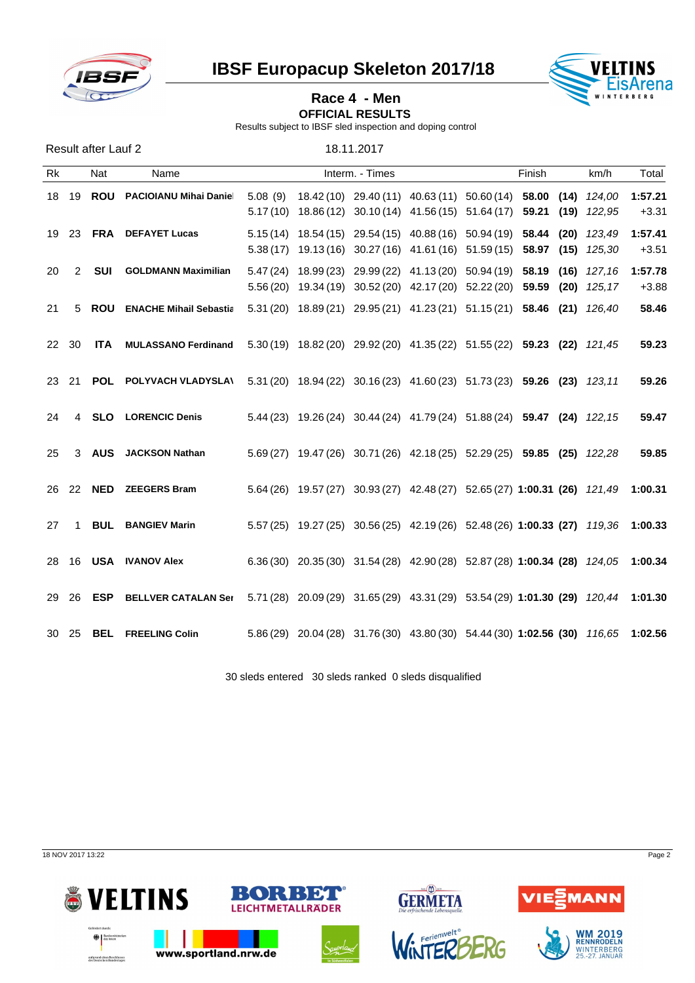

**IBSF Europacup Skeleton 2017/18 VELTINS** 



## **Race 4 - Men OFFICIAL RESULTS**

Results subject to IBSF sled inspection and doping control

| <b>Result after Lauf 2</b> |             |  |                                                                                                           |  |  |  |                                                                                   |  |  |       |         |
|----------------------------|-------------|--|-----------------------------------------------------------------------------------------------------------|--|--|--|-----------------------------------------------------------------------------------|--|--|-------|---------|
| Rk                         | Nat<br>Name |  | Interm. - Times                                                                                           |  |  |  | Finish<br>km/h                                                                    |  |  | Total |         |
|                            |             |  | 18 19 ROU PACIOIANU Mihai Danie                                                                           |  |  |  | 5.08 (9) $18.42(10)$ 29.40 (11) 40.63 (11) 50.60 (14) 58.00 (14) 124,00           |  |  |       | 1:57.21 |
|                            |             |  |                                                                                                           |  |  |  | 5.17(10) 18.86(12) 30.10(14) 41.56(15) 51.64(17) 59.21 (19) 122,95                |  |  |       | $+3.31$ |
|                            |             |  | 19 23 FRA DEFAYET Lucas                                                                                   |  |  |  | 5.15 (14) 18.54 (15) 29.54 (15) 40.88 (16) 50.94 (19) 58.44 (20) 123,49           |  |  |       | 1:57.41 |
|                            |             |  |                                                                                                           |  |  |  | 5.38 (17) 19.13 (16) 30.27 (16) 41.61 (16) 51.59 (15) 58.97 (15) 125,30           |  |  |       | $+3.51$ |
| 20                         | 2           |  | <b>SUI</b> GOLDMANN Maximilian                                                                            |  |  |  | 5.47 (24) 18.99 (23) 29.99 (22) 41.13 (20) 50.94 (19) 58.19 (16) 127,16           |  |  |       | 1:57.78 |
|                            |             |  |                                                                                                           |  |  |  | 5.56 (20) 19.34 (19) 30.52 (20) 42.17 (20) 52.22 (20) 59.59 (20) 125,17           |  |  |       | $+3.88$ |
| 21                         |             |  | 5 ROU ENACHE Mihail Sebastia                                                                              |  |  |  | 5.31 (20) 18.89 (21) 29.95 (21) 41.23 (21) 51.15 (21) 58.46 (21) 126,40           |  |  |       | 58.46   |
|                            | 22 30       |  | ITA MULASSANO Ferdinand 5.30 (19) 18.82 (20) 29.92 (20) 41.35 (22) 51.55 (22) 59.23 (22) 121,45           |  |  |  |                                                                                   |  |  |       | 59.23   |
|                            | 23 21       |  | POL POLYVACH VLADYSLA\ 5.31 (20) 18.94 (22) 30.16 (23) 41.60 (23) 51.73 (23) 59.26 (23) 123,11            |  |  |  |                                                                                   |  |  |       | 59.26   |
| 24                         | 4           |  | <b>SLO</b> LORENCIC Denis                                                                                 |  |  |  | 5.44 (23) 19.26 (24) 30.44 (24) 41.79 (24) 51.88 (24) 59.47 (24) 122,15           |  |  |       | 59.47   |
| 25                         |             |  | 3 AUS JACKSON Nathan                                                                                      |  |  |  | 5.69 (27) 19.47 (26) 30.71 (26) 42.18 (25) 52.29 (25) 59.85 (25) 122,28           |  |  |       | 59.85   |
|                            |             |  | 26 22 NED ZEEGERS Bram                                                                                    |  |  |  | 5.64 (26) 19.57 (27) 30.93 (27) 42.48 (27) 52.65 (27) 1:00.31 (26) 121,49 1:00.31 |  |  |       |         |
| 27                         |             |  | <b>BUL BANGIEV Marin</b>                                                                                  |  |  |  | 5.57 (25) 19.27 (25) 30.56 (25) 42.19 (26) 52.48 (26) 1:00.33 (27) 119,36 1:00.33 |  |  |       |         |
|                            |             |  | 28 16 USA IVANOV Alex                                                                                     |  |  |  | 6.36 (30) 20.35 (30) 31.54 (28) 42.90 (28) 52.87 (28) 1:00.34 (28) 124,05 1:00.34 |  |  |       |         |
|                            | 29 26       |  | ESP BELLVER CATALAN Ser 5.71 (28) 20.09 (29) 31.65 (29) 43.31 (29) 53.54 (29) 1:01.30 (29) 120,44 1:01.30 |  |  |  |                                                                                   |  |  |       |         |
|                            |             |  | 30 25 BEL FREELING Colin                                                                                  |  |  |  | 5.86 (29) 20.04 (28) 31.76 (30) 43.80 (30) 54.44 (30) 1:02.56 (30) 116,65 1:02.56 |  |  |       |         |

30 sleds entered 30 sleds ranked 0 sleds disqualified

18 NOV 2017 13:22 Page 2







WINTERBERG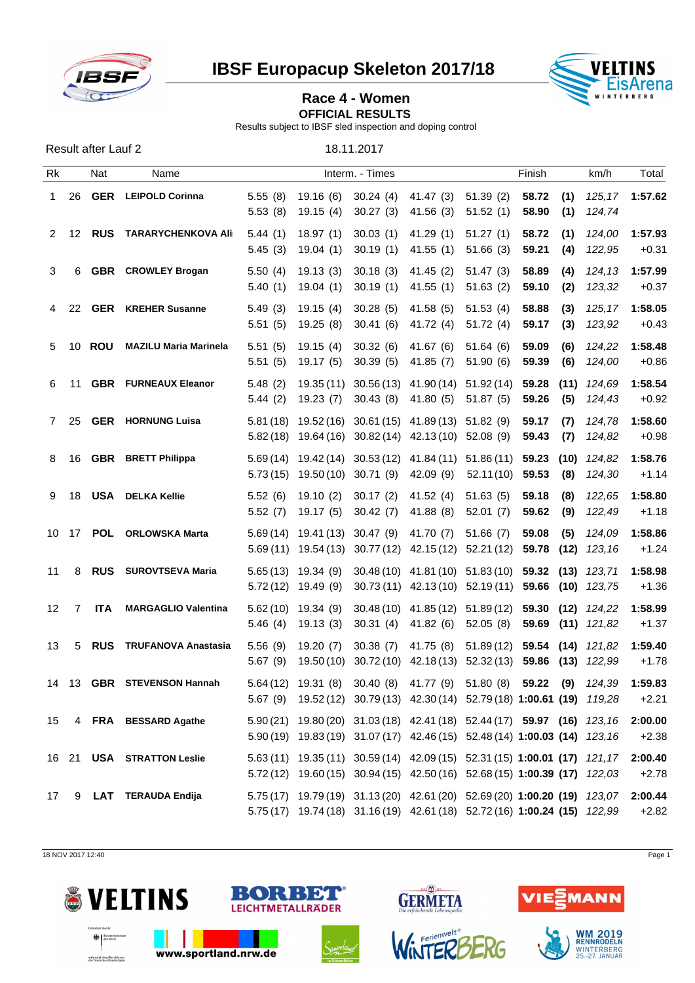

**IBSF Europacup Skeleton 2017/18 VELTINS** 



## Race 4 - Women **No. 1996 Washington**

**OFFICIAL RESULTS** 

Results subject to IBSF sled inspection and doping control

| Result after Lauf 2 | 18.11.2017 |
|---------------------|------------|
|                     |            |

| Rk |       | <b>Nat</b> | Name                             |                    |                                                                                                                                                          | Interm. - Times                            |                                                                                      |                        | Finish         |             | km/h                                   | Total              |
|----|-------|------------|----------------------------------|--------------------|----------------------------------------------------------------------------------------------------------------------------------------------------------|--------------------------------------------|--------------------------------------------------------------------------------------|------------------------|----------------|-------------|----------------------------------------|--------------------|
| 1  | 26    |            | <b>GER</b> LEIPOLD Corinna       | 5.55(8)<br>5.53(8) | 19.15 (4)                                                                                                                                                | 19.16 (6) 30.24 (4)<br>30.27 (3) 41.56 (3) | 41.47 (3) 51.39 (2)                                                                  | 51.52(1)               | 58.72<br>58.90 | (1)<br>(1)  | 124,74                                 | 125,17 1:57.62     |
| 2  | 12    |            | <b>RUS TARARYCHENKOVA Ali</b>    | 5.44(1)<br>5.45(3) | 18.97 (1)<br>19.04 (1)                                                                                                                                   | 30.03 (1) 41.29 (1)<br>30.19 (1) 41.55 (1) |                                                                                      | 51.27(1)<br>51.66 (3)  | 58.72<br>59.21 | (1)<br>(4)  | 124.00<br>122,95                       | 1:57.93<br>$+0.31$ |
| 3  | 6     |            | <b>GBR</b> CROWLEY Brogan        | 5.50(4)<br>5.40(1) | 19.13 (3)<br>19.04 (1)                                                                                                                                   | 30.18 (3)                                  | 41.45 (2)<br>30.19 (1) 41.55 (1)                                                     | 51.47 (3)<br>51.63(2)  | 58.89<br>59.10 | (4)<br>(2)  | 124.13<br>123,32                       | 1:57.99<br>$+0.37$ |
| 4  | 22    |            | <b>GER</b> KREHER Susanne        | 5.49(3)<br>5.51(5) | 19.15 (4)                                                                                                                                                | 30.28(5)<br>19.25 (8) 30.41 (6) 41.72 (4)  | 41.58 (5)                                                                            | 51.53(4)<br>51.72(4)   | 58.88<br>59.17 | (3)<br>(3)  | 125,17<br>123,92                       | 1:58.05<br>$+0.43$ |
| 5  | 10    |            | <b>ROU</b> MAZILU Maria Marinela | 5.51(5)<br>5.51(5) | 19.15 (4)                                                                                                                                                | 30.32 (6)<br>19.17 (5) 30.39 (5) 41.85 (7) | 41.67 (6)                                                                            | 51.64 (6)<br>51.90 (6) | 59.09<br>59.39 | (6)<br>(6)  | 124,22<br>124,00                       | 1:58.48<br>$+0.86$ |
| 6. | 11    |            | <b>GBR</b> FURNEAUX Eleanor      | 5.48(2)<br>5.44(2) | 19.23 (7)                                                                                                                                                |                                            | 19.35 (11) 30.56 (13) 41.90 (14) 51.92 (14)<br>30.43 (8) 41.80 (5)                   | 51.87 (5)              | 59.28<br>59.26 | (11)<br>(5) | 124.69<br>124,43                       | 1:58.54<br>$+0.92$ |
|    | 7 25  |            | <b>GER</b> HORNUNG Luisa         |                    | 5.81 (18) 19.52 (16) 30.61 (15) 41.89 (13) 51.82 (9)<br>$5.82(18)$ 19.64 (16) 30.82 (14) 42.13 (10) 52.08 (9)                                            |                                            |                                                                                      |                        | 59.17<br>59.43 | (7)<br>(7)  | 124,78<br>124,82                       | 1:58.60<br>$+0.98$ |
| 8  | 16    |            | <b>GBR</b> BRETT Philippa        |                    | 5.69 (14) 19.42 (14) 30.53 (12) 41.84 (11) 51.86 (11) 59.23<br>$5.73(15)$ 19.50(10) 30.71(9) 42.09(9)                                                    |                                            |                                                                                      | 52.11(10) 59.53        |                | (8)         | $(10)$ 124,82<br>124,30                | 1:58.76<br>$+1.14$ |
| 9  | 18    |            | <b>USA</b> DELKA Kellie          | 5.52(6)<br>5.52(7) | 19.10 (2) 30.17 (2)<br>19.17 (5) 30.42 (7) 41.88 (8)                                                                                                     |                                            | 41.52 (4)                                                                            | 51.63(5)<br>52.01 (7)  | 59.18<br>59.62 | (8)<br>(9)  | 122,65<br>122,49                       | 1:58.80<br>$+1.18$ |
|    | 10 17 |            | <b>POL</b> ORLOWSKA Marta        |                    | $5.69(14)$ 19.41(13) 30.47(9) 41.70(7)<br>$5.69(11)$ $19.54(13)$ $30.77(12)$ $42.15(12)$ $52.21(12)$ <b>59.78</b>                                        |                                            |                                                                                      | 51.66 (7)              | 59.08          | (5)         | 124,09<br>$(12)$ 123,16                | 1:58.86<br>$+1.24$ |
| 11 | 8     |            | <b>RUS</b> SUROVTSEVA Maria      |                    | 5.65 (13) 19.34 (9) 30.48 (10) 41.81 (10) 51.83 (10) 59.32 (13) 123,71<br>$5.72(12)$ 19.49 (9) 30.73 (11) 42.13 (10) 52.19 (11) <b>59.66 (10)</b> 123,75 |                                            |                                                                                      |                        |                |             |                                        | 1:58.98<br>$+1.36$ |
| 12 | 7     | ITA        | <b>MARGAGLIO Valentina</b>       | 5.46(4)            | $5.62(10)$ 19.34 (9)<br>19.13 (3)                                                                                                                        |                                            | 30.48 (10) 41.85 (12) 51.89 (12)<br>30.31 (4) 41.82 (6)                              | 52.05(8)               |                |             | 59.30 (12) 124,22<br>59.69 (11) 121,82 | 1:58.99<br>$+1.37$ |
| 13 | 5     |            | <b>RUS</b> TRUFANOVA Anastasia   | 5.56(9)<br>5.67(9) | 19.20 (7)                                                                                                                                                |                                            | 30.38 (7) 41.75 (8)<br>19.50 (10) 30.72 (10) 42.18 (13) 52.32 (13) 59.86 (13) 122,99 | 51.89 (12)             |                |             | <b>59.54 (14)</b> 121,82               | 1:59.40<br>$+1.78$ |
|    |       |            | 14 13 GBR STEVENSON Hannah       |                    | 5.64 (12) 19.31 (8) 30.40 (8) 41.77 (9) 51.80 (8) 59.22 (9) 124,39<br>5.67 (9) 19.52 (12) 30.79 (13) 42.30 (14) 52.79 (18) 1:00.61 (19) 119,28           |                                            |                                                                                      |                        |                |             |                                        | 1:59.83<br>$+2.21$ |
| 15 |       |            | 4 FRA BESSARD Agathe             |                    | 5.90 (21) 19.80 (20) 31.03 (18) 42.41 (18) 52.44 (17) 59.97 (16) 123,16<br>5.90 (19) 19.83 (19) 31.07 (17) 42.46 (15) 52.48 (14) 1:00.03 (14) 123,16     |                                            |                                                                                      |                        |                |             |                                        | 2:00.00<br>$+2.38$ |
|    |       |            | 16 21 USA STRATTON Leslie        |                    | 5.63 (11) 19.35 (11) 30.59 (14) 42.09 (15) 52.31 (15) 1:00.01 (17) 121,17<br>5.72(12) 19.60(15) 30.94(15) 42.50(16) 52.68(15) 1:00.39 (17) 122,03        |                                            |                                                                                      |                        |                |             |                                        | 2:00.40<br>$+2.78$ |
| 17 | 9     |            | LAT TERAUDA Endija               |                    | 5.75 (17) 19.79 (19) 31.13 (20) 42.61 (20) 52.69 (20) 1:00.20 (19) 123,07<br>5.75(17) 19.74(18) 31.16(19) 42.61(18) 52.72(16) 1:00.24 (15) 122,99        |                                            |                                                                                      |                        |                |             |                                        | 2:00.44<br>$+2.82$ |
|    |       |            |                                  |                    |                                                                                                                                                          |                                            |                                                                                      |                        |                |             |                                        |                    |

18 NOV 2017 12:40 Page 1











**WM 2019**<br>RENNRODELN WINTERBERG